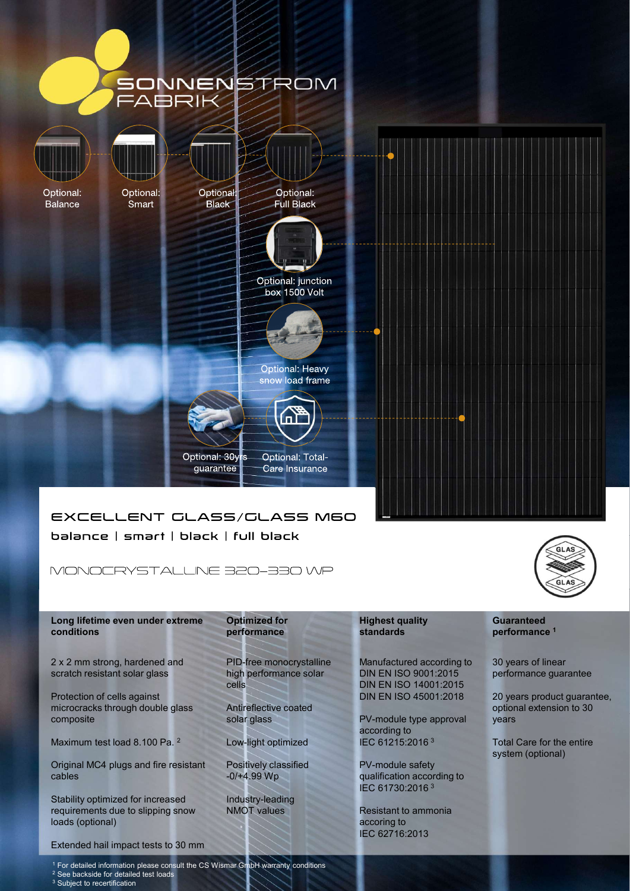

Long lifetime even under extreme Optimized for conditions performance

2 x 2 mm strong, hardened and

Protection of cells against microcracks through double glass composite solar glass

Maximum test load 8.100 Pa. <sup>2</sup>

Original MC4 plugs and fire resistant cables

Stability optimized for increased requirements due to slipping snow NMOT values loads (optional)

Extended hail impact tests to 30 mm

PID-free monocrystalline high performance solar

Antireflective coated

Low-light optimized

Positively classified

Industry-leading

## standards **performance**<sup>1</sup>

cells DIN EN ISO 14001:2015 Manufactured according to DIN EN ISO 9001:2015

solar glass **Superset Contact Contact PV-module type approval synch contact Contact Contact Contact Contact Conta** according to IEC 61215:2016 <sup>3</sup>

-0/+4.99 Wp qualification according to PV-module safety IEC 61730:2016<sup>3</sup>

NMOT values Resistant to ammonia accoring to IEC 62716:2013

# **Guaranteed**

30 years of linear performance guarantee

DIN EN ISO 45001:2018 20 years product guarantee, optional extension to 30 years

> Total Care for the entire system (optional)

<sup>1</sup> For detailed information please consult the CS Wismar GmbH warranty conditions

<sup>2</sup> See backside for detailed test loads <sup>3</sup> Subject to recertification